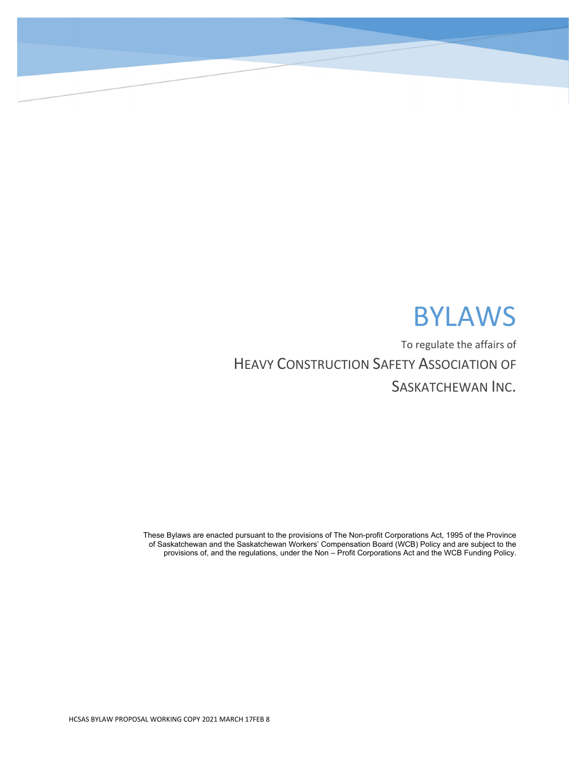# BYLAWS

To regulate the affairs of HEAVY CONSTRUCTION SAFETY ASSOCIATION OF SASKATCHEWAN INC.

These Bylaws are enacted pursuant to the provisions of The Non-profit Corporations Act, 1995 of the Province of Saskatchewan and the Saskatchewan Workers' Compensation Board (WCB) Policy and are subject to the provisions of, and the regulations, under the Non – Profit Corporations Act and the WCB Funding Policy.

 $\overline{\phantom{a}}$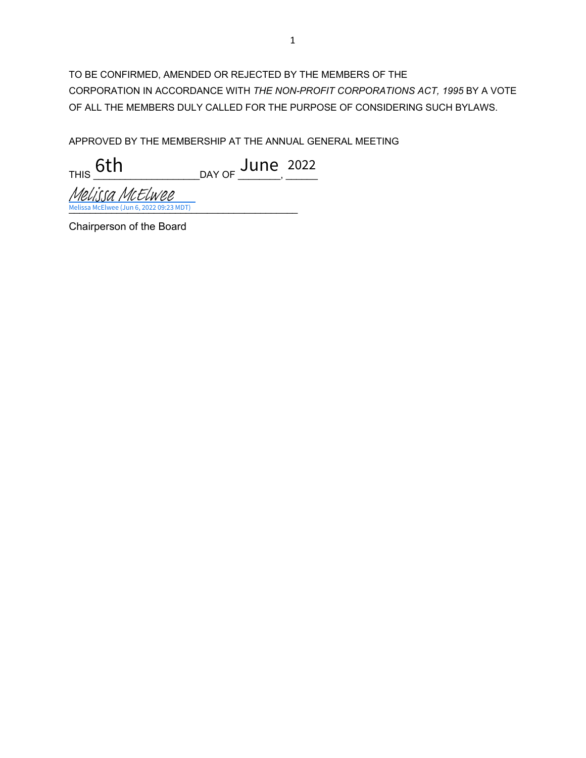TO BE CONFIRMED, AMENDED OR REJECTED BY THE MEMBERS OF THE CORPORATION IN ACCORDANCE WITH *THE NON-PROFIT CORPORATIONS ACT, 1995* BY A VOTE OF ALL THE MEMBERS DULY CALLED FOR THE PURPOSE OF CONSIDERING SUCH BYLAWS.

APPROVED BY THE MEMBERSHIP AT THE ANNUAL GENERAL MEETING

THIS \_\_\_\_\_\_\_\_\_\_\_\_\_\_\_\_\_\_\_\_DAY OF \_\_\_\_\_\_\_\_, \_\_\_\_\_\_ 6th June <sup>2022</sup>

[\\_\\_\\_\\_\\_\\_\\_\\_\\_\\_\\_\\_\\_\\_\\_\\_\\_\\_\\_\\_\\_\\_\\_\\_\\_\\_\\_\\_\\_\\_\\_\\_\\_\\_\\_\\_\\_\\_\\_\\_\\_\\_\\_](https://na2.documents.adobe.com/verifier?tx=CBJCHBCAABAArMyVQOxvQMs2bYR5dvy7POyaVQ-x_2Ng) Melissa McElwee (Jun 6, 2022 09:23 MDT) Melissa McElwee

Chairperson of the Board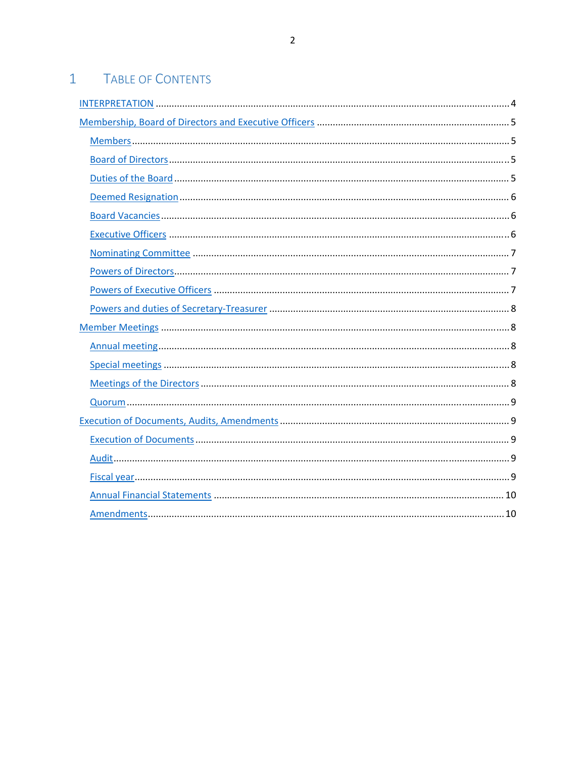#### $1 -$ **TABLE OF CONTENTS**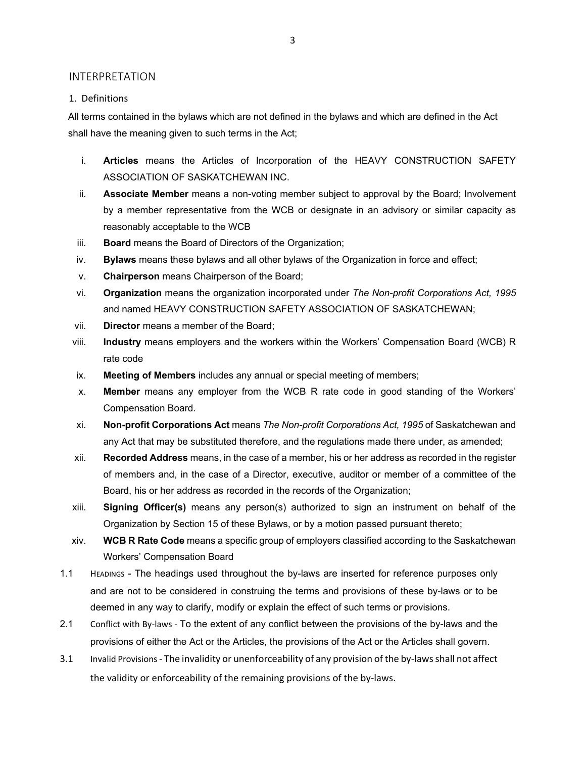#### INTERPRETATION

#### 1. Definitions

All terms contained in the bylaws which are not defined in the bylaws and which are defined in the Act shall have the meaning given to such terms in the Act;

- i. **Articles** means the Articles of Incorporation of the HEAVY CONSTRUCTION SAFETY ASSOCIATION OF SASKATCHEWAN INC.
- ii. **Associate Member** means a non-voting member subject to approval by the Board; Involvement by a member representative from the WCB or designate in an advisory or similar capacity as reasonably acceptable to the WCB
- iii. **Board** means the Board of Directors of the Organization;
- iv. **Bylaws** means these bylaws and all other bylaws of the Organization in force and effect;
- v. **Chairperson** means Chairperson of the Board;
- vi. **Organization** means the organization incorporated under *The Non-profit Corporations Act, 1995* and named HEAVY CONSTRUCTION SAFETY ASSOCIATION OF SASKATCHEWAN;
- vii. **Director** means a member of the Board;
- viii. **Industry** means employers and the workers within the Workers' Compensation Board (WCB) R rate code
- ix. **Meeting of Members** includes any annual or special meeting of members;
- x. **Member** means any employer from the WCB R rate code in good standing of the Workers' Compensation Board.
- xi. **Non-profit Corporations Act** means *The Non-profit Corporations Act, 1995* of Saskatchewan and any Act that may be substituted therefore, and the regulations made there under, as amended;
- xii. **Recorded Address** means, in the case of a member, his or her address as recorded in the register of members and, in the case of a Director, executive, auditor or member of a committee of the Board, his or her address as recorded in the records of the Organization;
- xiii. **Signing Officer(s)** means any person(s) authorized to sign an instrument on behalf of the Organization by Section 15 of these Bylaws, or by a motion passed pursuant thereto;
- xiv. **WCB R Rate Code** means a specific group of employers classified according to the Saskatchewan Workers' Compensation Board
- 1.1 HEADINGS The headings used throughout the by-laws are inserted for reference purposes only and are not to be considered in construing the terms and provisions of these by-laws or to be deemed in any way to clarify, modify or explain the effect of such terms or provisions.
- 2.1 Conflict with By-laws To the extent of any conflict between the provisions of the by-laws and the provisions of either the Act or the Articles, the provisions of the Act or the Articles shall govern.
- 3.1 Invalid Provisions The invalidity or unenforceability of any provision of the by-laws shall not affect the validity or enforceability of the remaining provisions of the by‐laws.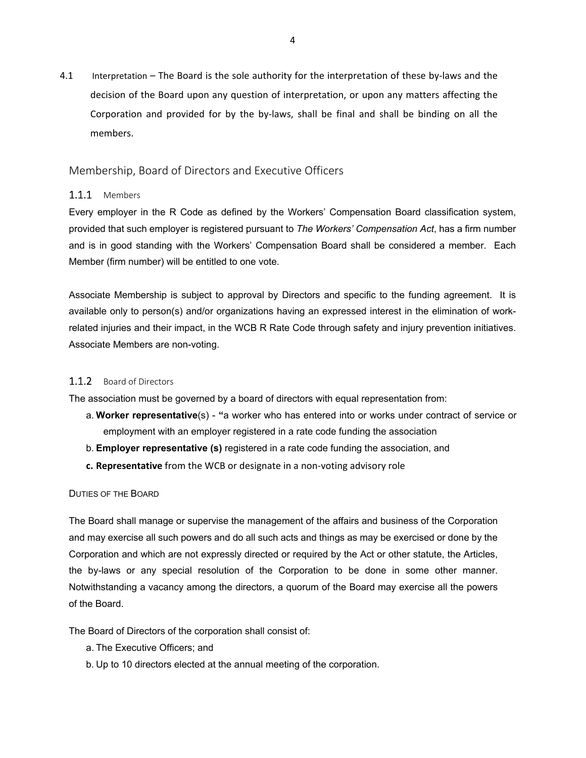4.1 Interpretation – The Board is the sole authority for the interpretation of these by-laws and the decision of the Board upon any question of interpretation, or upon any matters affecting the Corporation and provided for by the by‐laws, shall be final and shall be binding on all the members.

#### Membership, Board of Directors and Executive Officers

#### 1.1.1 Members

Every employer in the R Code as defined by the Workers' Compensation Board classification system, provided that such employer is registered pursuant to *The Workers' Compensation Act*, has a firm number and is in good standing with the Workers' Compensation Board shall be considered a member. Each Member (firm number) will be entitled to one vote.

Associate Membership is subject to approval by Directors and specific to the funding agreement. It is available only to person(s) and/or organizations having an expressed interest in the elimination of workrelated injuries and their impact, in the WCB R Rate Code through safety and injury prevention initiatives. Associate Members are non-voting.

#### 1.1.2 Board of Directors

The association must be governed by a board of directors with equal representation from:

- a. **Worker representative**(s) **"**a worker who has entered into or works under contract of service or employment with an employer registered in a rate code funding the association
- b. **Employer representative (s)** registered in a rate code funding the association, and
- **c. Representative** from the WCB or designate in a non‐voting advisory role

#### DUTIES OF THE BOARD

The Board shall manage or supervise the management of the affairs and business of the Corporation and may exercise all such powers and do all such acts and things as may be exercised or done by the Corporation and which are not expressly directed or required by the Act or other statute, the Articles, the by-laws or any special resolution of the Corporation to be done in some other manner. Notwithstanding a vacancy among the directors, a quorum of the Board may exercise all the powers of the Board.

The Board of Directors of the corporation shall consist of:

- a. The Executive Officers; and
- b. Up to 10 directors elected at the annual meeting of the corporation.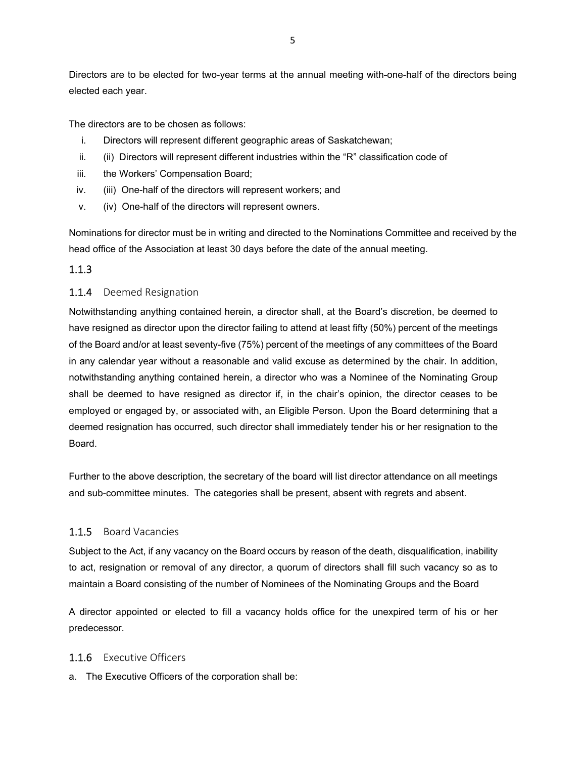Directors are to be elected for two-year terms at the annual meeting with-one-half of the directors being elected each year.

The directors are to be chosen as follows:

- i. Directors will represent different geographic areas of Saskatchewan;
- ii. (ii) Directors will represent different industries within the "R" classification code of
- iii. the Workers' Compensation Board;
- iv. (iii) One-half of the directors will represent workers; and
- v. (iv) One-half of the directors will represent owners.

Nominations for director must be in writing and directed to the Nominations Committee and received by the head office of the Association at least 30 days before the date of the annual meeting.

#### 1.1.3

#### 1.1.4 Deemed Resignation

Notwithstanding anything contained herein, a director shall, at the Board's discretion, be deemed to have resigned as director upon the director failing to attend at least fifty (50%) percent of the meetings of the Board and/or at least seventy-five (75%) percent of the meetings of any committees of the Board in any calendar year without a reasonable and valid excuse as determined by the chair. In addition, notwithstanding anything contained herein, a director who was a Nominee of the Nominating Group shall be deemed to have resigned as director if, in the chair's opinion, the director ceases to be employed or engaged by, or associated with, an Eligible Person. Upon the Board determining that a deemed resignation has occurred, such director shall immediately tender his or her resignation to the Board.

Further to the above description, the secretary of the board will list director attendance on all meetings and sub-committee minutes. The categories shall be present, absent with regrets and absent.

#### 1.1.5 Board Vacancies

Subject to the Act, if any vacancy on the Board occurs by reason of the death, disqualification, inability to act, resignation or removal of any director, a quorum of directors shall fill such vacancy so as to maintain a Board consisting of the number of Nominees of the Nominating Groups and the Board

A director appointed or elected to fill a vacancy holds office for the unexpired term of his or her predecessor.

#### 1.1.6 Executive Officers

a. The Executive Officers of the corporation shall be: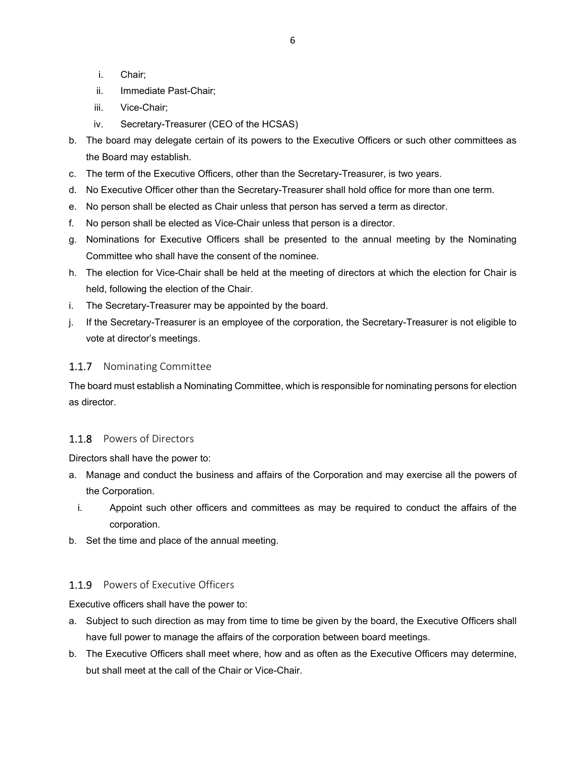- i. Chair;
- ii. Immediate Past-Chair;
- iii. Vice-Chair;
- iv. Secretary-Treasurer (CEO of the HCSAS)
- b. The board may delegate certain of its powers to the Executive Officers or such other committees as the Board may establish.
- c. The term of the Executive Officers, other than the Secretary-Treasurer, is two years.
- d. No Executive Officer other than the Secretary-Treasurer shall hold office for more than one term.
- e. No person shall be elected as Chair unless that person has served a term as director.
- f. No person shall be elected as Vice-Chair unless that person is a director.
- g. Nominations for Executive Officers shall be presented to the annual meeting by the Nominating Committee who shall have the consent of the nominee.
- h. The election for Vice-Chair shall be held at the meeting of directors at which the election for Chair is held, following the election of the Chair.
- i. The Secretary-Treasurer may be appointed by the board.
- j. If the Secretary-Treasurer is an employee of the corporation, the Secretary-Treasurer is not eligible to vote at director's meetings.

#### 1.1.7 Nominating Committee

The board must establish a Nominating Committee, which is responsible for nominating persons for election as director.

#### 1.1.8 Powers of Directors

Directors shall have the power to:

- a. Manage and conduct the business and affairs of the Corporation and may exercise all the powers of the Corporation.
	- i. Appoint such other officers and committees as may be required to conduct the affairs of the corporation.
- b. Set the time and place of the annual meeting.

### 1.1.9 Powers of Executive Officers

Executive officers shall have the power to:

- a. Subject to such direction as may from time to time be given by the board, the Executive Officers shall have full power to manage the affairs of the corporation between board meetings.
- b. The Executive Officers shall meet where, how and as often as the Executive Officers may determine, but shall meet at the call of the Chair or Vice-Chair.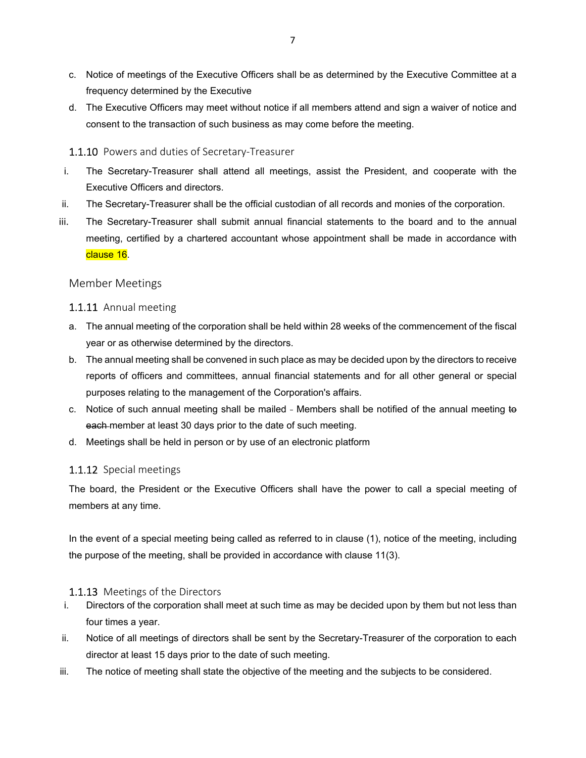- c. Notice of meetings of the Executive Officers shall be as determined by the Executive Committee at a frequency determined by the Executive
- d. The Executive Officers may meet without notice if all members attend and sign a waiver of notice and consent to the transaction of such business as may come before the meeting.

#### 1.1.10 Powers and duties of Secretary‐Treasurer

- i. The Secretary-Treasurer shall attend all meetings, assist the President, and cooperate with the Executive Officers and directors.
- ii. The Secretary-Treasurer shall be the official custodian of all records and monies of the corporation.
- iii. The Secretary-Treasurer shall submit annual financial statements to the board and to the annual meeting, certified by a chartered accountant whose appointment shall be made in accordance with clause 16.

#### Member Meetings

#### 1.1.11 Annual meeting

- a. The annual meeting of the corporation shall be held within 28 weeks of the commencement of the fiscal year or as otherwise determined by the directors.
- b. The annual meeting shall be convened in such place as may be decided upon by the directors to receive reports of officers and committees, annual financial statements and for all other general or special purposes relating to the management of the Corporation's affairs.
- c. Notice of such annual meeting shall be mailed Members shall be notified of the annual meeting to each member at least 30 days prior to the date of such meeting.
- d. Meetings shall be held in person or by use of an electronic platform

#### 1.1.12 Special meetings

The board, the President or the Executive Officers shall have the power to call a special meeting of members at any time.

In the event of a special meeting being called as referred to in clause (1), notice of the meeting, including the purpose of the meeting, shall be provided in accordance with clause 11(3).

#### 1.1.13 Meetings of the Directors

- i. Directors of the corporation shall meet at such time as may be decided upon by them but not less than four times a year.
- ii. Notice of all meetings of directors shall be sent by the Secretary-Treasurer of the corporation to each director at least 15 days prior to the date of such meeting.
- iii. The notice of meeting shall state the objective of the meeting and the subjects to be considered.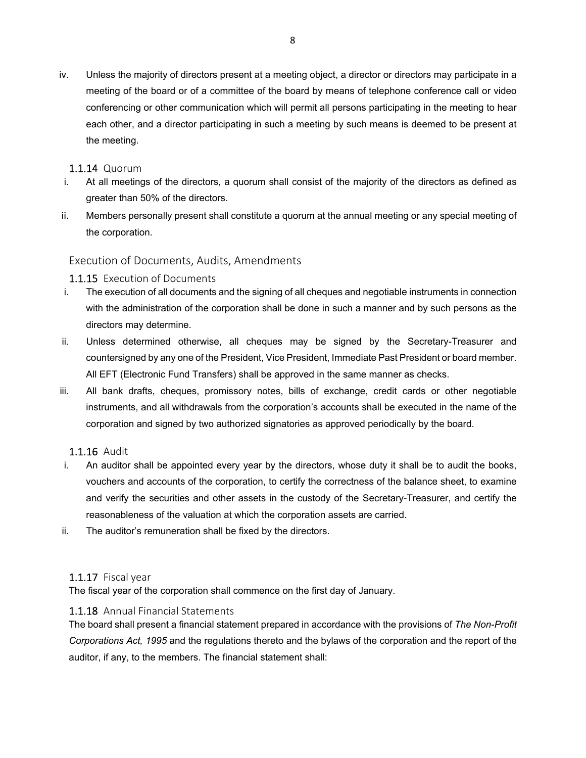iv. Unless the majority of directors present at a meeting object, a director or directors may participate in a meeting of the board or of a committee of the board by means of telephone conference call or video conferencing or other communication which will permit all persons participating in the meeting to hear each other, and a director participating in such a meeting by such means is deemed to be present at the meeting.

#### 1.1.14 Quorum

- i. At all meetings of the directors, a quorum shall consist of the majority of the directors as defined as greater than 50% of the directors.
- ii. Members personally present shall constitute a quorum at the annual meeting or any special meeting of the corporation.

#### Execution of Documents, Audits, Amendments

#### 1.1.15 Execution of Documents

- i. The execution of all documents and the signing of all cheques and negotiable instruments in connection with the administration of the corporation shall be done in such a manner and by such persons as the directors may determine.
- ii. Unless determined otherwise, all cheques may be signed by the Secretary-Treasurer and countersigned by any one of the President, Vice President, Immediate Past President or board member. All EFT (Electronic Fund Transfers) shall be approved in the same manner as checks.
- iii. All bank drafts, cheques, promissory notes, bills of exchange, credit cards or other negotiable instruments, and all withdrawals from the corporation's accounts shall be executed in the name of the corporation and signed by two authorized signatories as approved periodically by the board.

#### 1.1.16 Audit

- i. An auditor shall be appointed every year by the directors, whose duty it shall be to audit the books, vouchers and accounts of the corporation, to certify the correctness of the balance sheet, to examine and verify the securities and other assets in the custody of the Secretary-Treasurer, and certify the reasonableness of the valuation at which the corporation assets are carried.
- ii. The auditor's remuneration shall be fixed by the directors.

#### 1.1.17 Fiscal year

The fiscal year of the corporation shall commence on the first day of January.

#### 1.1.18 Annual Financial Statements

The board shall present a financial statement prepared in accordance with the provisions of *The Non-Profit Corporations Act, 1995* and the regulations thereto and the bylaws of the corporation and the report of the auditor, if any, to the members. The financial statement shall: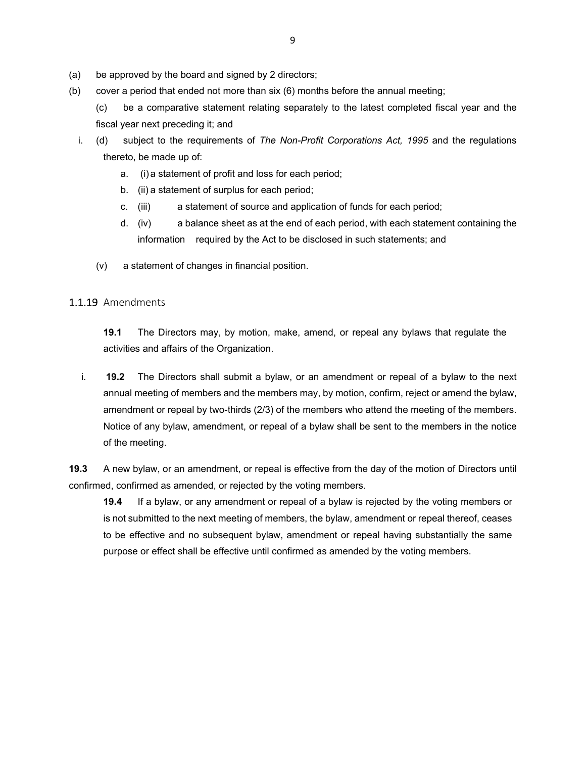- (a) be approved by the board and signed by 2 directors;
- (b) cover a period that ended not more than six (6) months before the annual meeting;
	- (c) be a comparative statement relating separately to the latest completed fiscal year and the fiscal year next preceding it; and
	- i. (d) subject to the requirements of *The Non-Profit Corporations Act, 1995* and the regulations thereto, be made up of:
		- a. (i) a statement of profit and loss for each period;
		- b. (ii) a statement of surplus for each period;
		- c. (iii) a statement of source and application of funds for each period;
		- d. (iv) a balance sheet as at the end of each period, with each statement containing the information required by the Act to be disclosed in such statements; and
		- (v) a statement of changes in financial position.

#### 1.1.19 Amendments

**19.1** The Directors may, by motion, make, amend, or repeal any bylaws that regulate the activities and affairs of the Organization.

i. **19.2** The Directors shall submit a bylaw, or an amendment or repeal of a bylaw to the next annual meeting of members and the members may, by motion, confirm, reject or amend the bylaw, amendment or repeal by two-thirds (2/3) of the members who attend the meeting of the members. Notice of any bylaw, amendment, or repeal of a bylaw shall be sent to the members in the notice of the meeting.

**19.3** A new bylaw, or an amendment, or repeal is effective from the day of the motion of Directors until confirmed, confirmed as amended, or rejected by the voting members.

**19.4** If a bylaw, or any amendment or repeal of a bylaw is rejected by the voting members or is not submitted to the next meeting of members, the bylaw, amendment or repeal thereof, ceases to be effective and no subsequent bylaw, amendment or repeal having substantially the same purpose or effect shall be effective until confirmed as amended by the voting members.